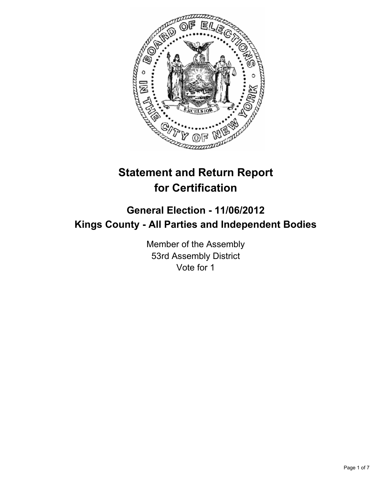

# **Statement and Return Report for Certification**

## **General Election - 11/06/2012 Kings County - All Parties and Independent Bodies**

Member of the Assembly 53rd Assembly District Vote for 1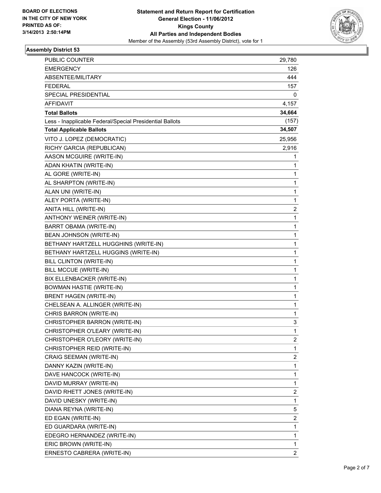

### **Assembly District 53**

| PUBLIC COUNTER                                           | 29,780         |
|----------------------------------------------------------|----------------|
| <b>EMERGENCY</b>                                         | 126            |
| ABSENTEE/MILITARY                                        | 444            |
| <b>FEDERAL</b>                                           | 157            |
| SPECIAL PRESIDENTIAL                                     | 0              |
| AFFIDAVIT                                                | 4,157          |
| <b>Total Ballots</b>                                     | 34,664         |
| Less - Inapplicable Federal/Special Presidential Ballots | (157)          |
| <b>Total Applicable Ballots</b>                          | 34,507         |
| VITO J. LOPEZ (DEMOCRATIC)                               | 25,956         |
| RICHY GARCIA (REPUBLICAN)                                | 2,916          |
| AASON MCGUIRE (WRITE-IN)                                 | 1              |
| ADAN KHATIN (WRITE-IN)                                   | 1              |
| AL GORE (WRITE-IN)                                       | 1              |
| AL SHARPTON (WRITE-IN)                                   | 1              |
| ALAN UNI (WRITE-IN)                                      | 1              |
| ALEY PORTA (WRITE-IN)                                    | 1              |
| ANITA HILL (WRITE-IN)                                    | $\overline{2}$ |
| ANTHONY WEINER (WRITE-IN)                                | 1              |
| BARRT OBAMA (WRITE-IN)                                   | 1              |
| BEAN JOHNSON (WRITE-IN)                                  | 1              |
| BETHANY HARTZELL HUGGHINS (WRITE-IN)                     | 1              |
| BETHANY HARTZELL HUGGINS (WRITE-IN)                      | 1              |
| <b>BILL CLINTON (WRITE-IN)</b>                           | 1              |
| BILL MCCUE (WRITE-IN)                                    | 1              |
| BIX ELLENBACKER (WRITE-IN)                               | 1              |
| <b>BOWMAN HASTIE (WRITE-IN)</b>                          | 1              |
| <b>BRENT HAGEN (WRITE-IN)</b>                            | 1              |
| CHELSEAN A. ALLINGER (WRITE-IN)                          | 1              |
| CHRIS BARRON (WRITE-IN)                                  | 1              |
| CHRISTOPHER BARRON (WRITE-IN)                            | 3              |
| CHRISTOPHER O'LEARY (WRITE-IN)                           | 1              |
| CHRISTOPHER O'LEORY (WRITE-IN)                           | 2              |
| CHRISTOPHER REID (WRITE-IN)                              | 1              |
| CRAIG SEEMAN (WRITE-IN)                                  | 2              |
| DANNY KAZIN (WRITE-IN)                                   | 1              |
| DAVE HANCOCK (WRITE-IN)                                  | 1              |
| DAVID MURRAY (WRITE-IN)                                  | 1              |
| DAVID RHETT JONES (WRITE-IN)                             | 2              |
| DAVID UNESKY (WRITE-IN)                                  | 1              |
| DIANA REYNA (WRITE-IN)                                   | 5              |
| ED EGAN (WRITE-IN)                                       | 2              |
| ED GUARDARA (WRITE-IN)                                   | 1              |
| EDEGRO HERNANDEZ (WRITE-IN)                              | 1              |
| ERIC BROWN (WRITE-IN)                                    | 1              |
| ERNESTO CABRERA (WRITE-IN)                               | 2              |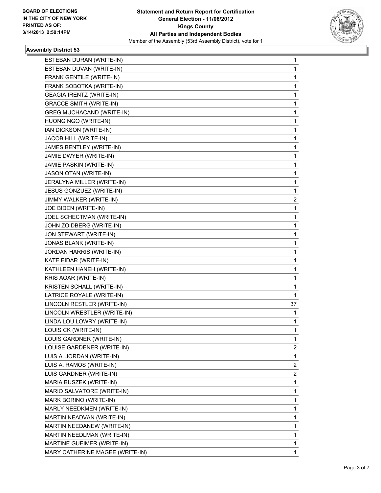

### **Assembly District 53**

| ESTEBAN DURAN (WRITE-IN)         | 1            |
|----------------------------------|--------------|
| ESTEBAN DUVAN (WRITE-IN)         | 1            |
| FRANK GENTILE (WRITE-IN)         | 1            |
| FRANK SOBOTKA (WRITE-IN)         | 1            |
| GEAGIA IRENTZ (WRITE-IN)         | 1            |
| <b>GRACCE SMITH (WRITE-IN)</b>   | 1            |
| <b>GREG MUCHACAND (WRITE-IN)</b> | 1            |
| HUONG NGO (WRITE-IN)             | 1            |
| IAN DICKSON (WRITE-IN)           | 1            |
| JACOB HILL (WRITE-IN)            | 1            |
| JAMES BENTLEY (WRITE-IN)         | 1            |
| JAMIE DWYER (WRITE-IN)           | 1            |
| JAMIE PASKIN (WRITE-IN)          | 1            |
| JASON OTAN (WRITE-IN)            | 1            |
| JERALYNA MILLER (WRITE-IN)       | 1            |
| JESUS GONZUEZ (WRITE-IN)         | 1            |
| JIMMY WALKER (WRITE-IN)          | 2            |
| JOE BIDEN (WRITE-IN)             | 1            |
| JOEL SCHECTMAN (WRITE-IN)        | 1            |
| JOHN ZOIDBERG (WRITE-IN)         | 1            |
| JON STEWART (WRITE-IN)           | 1            |
| JONAS BLANK (WRITE-IN)           | 1            |
| JORDAN HARRIS (WRITE-IN)         | 1            |
| KATE EIDAR (WRITE-IN)            | 1            |
| KATHLEEN HANEH (WRITE-IN)        | 1            |
| KRIS AOAR (WRITE-IN)             | 1            |
| KRISTEN SCHALL (WRITE-IN)        | 1            |
| LATRICE ROYALE (WRITE-IN)        | 1            |
| LINCOLN RESTLER (WRITE-IN)       | 37           |
| LINCOLN WRESTLER (WRITE-IN)      | 1            |
| LINDA LOU LOWRY (WRITE-IN)       | 1            |
| LOUIS CK (WRITE-IN)              | 1            |
| LOUIS GARDNER (WRITE-IN)         | 1            |
| LOUISE GARDENER (WRITE-IN)       | $\mathbf{2}$ |
| LUIS A. JORDAN (WRITE-IN)        | 1            |
| LUIS A. RAMOS (WRITE-IN)         | 2            |
| LUIS GARDNER (WRITE-IN)          | 2            |
| MARIA BUSZEK (WRITE-IN)          | 1            |
| MARIO SALVATORE (WRITE-IN)       | 1            |
| MARK BORINO (WRITE-IN)           | 1            |
| MARLY NEEDKMEN (WRITE-IN)        | 1            |
| MARTIN NEADVAN (WRITE-IN)        | 1            |
| MARTIN NEEDANEW (WRITE-IN)       | 1            |
| MARTIN NEEDLMAN (WRITE-IN)       | 1            |
| MARTINE GUEIMER (WRITE-IN)       | 1            |
| MARY CATHERINE MAGEE (WRITE-IN)  | 1            |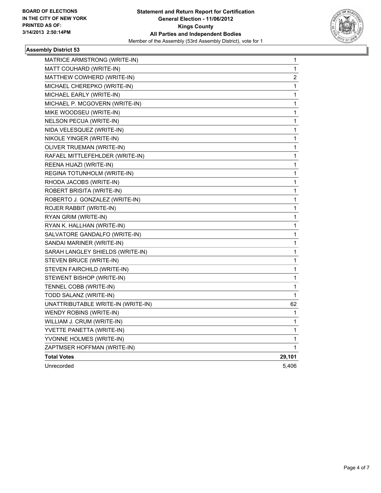

### **Assembly District 53**

| MATRICE ARMSTRONG (WRITE-IN)       | 1      |
|------------------------------------|--------|
| MATT COUHARD (WRITE-IN)            | 1      |
| MATTHEW COWHERD (WRITE-IN)         | 2      |
| MICHAEL CHEREPKO (WRITE-IN)        | 1      |
| MICHAEL EARLY (WRITE-IN)           | 1      |
| MICHAEL P. MCGOVERN (WRITE-IN)     | 1      |
| MIKE WOODSEU (WRITE-IN)            | 1      |
| NELSON PECUA (WRITE-IN)            | 1      |
| NIDA VELESQUEZ (WRITE-IN)          | 1      |
| NIKOLE YINGER (WRITE-IN)           | 1      |
| OLIVER TRUEMAN (WRITE-IN)          | 1      |
| RAFAEL MITTLEFEHLDER (WRITE-IN)    | 1      |
| REENA HIJAZI (WRITE-IN)            | 1      |
| REGINA TOTUNHOLM (WRITE-IN)        | 1      |
| RHODA JACOBS (WRITE-IN)            | 1      |
| ROBERT BRISITA (WRITE-IN)          | 1      |
| ROBERTO J. GONZALEZ (WRITE-IN)     | 1      |
| ROJER RABBIT (WRITE-IN)            | 1      |
| RYAN GRIM (WRITE-IN)               | 1      |
| RYAN K. HALLHAN (WRITE-IN)         | 1      |
| SALVATORE GANDALFO (WRITE-IN)      | 1      |
| SANDAI MARINER (WRITE-IN)          | 1      |
| SARAH LANGLEY SHIELDS (WRITE-IN)   | 1      |
| STEVEN BRUCE (WRITE-IN)            | 1      |
| STEVEN FAIRCHILD (WRITE-IN)        | 1      |
| STEWENT BISHOP (WRITE-IN)          | 1      |
| TENNEL COBB (WRITE-IN)             | 1      |
| TODD SALANZ (WRITE-IN)             | 1      |
| UNATTRIBUTABLE WRITE-IN (WRITE-IN) | 62     |
| WENDY ROBINS (WRITE-IN)            | 1      |
| WILLIAM J. CRUM (WRITE-IN)         | 1      |
| YVETTE PANETTA (WRITE-IN)          | 1      |
| YVONNE HOLMES (WRITE-IN)           | 1      |
| ZAPTMSER HOFFMAN (WRITE-IN)        | 1      |
| <b>Total Votes</b>                 | 29,101 |
| Unrecorded                         | 5,406  |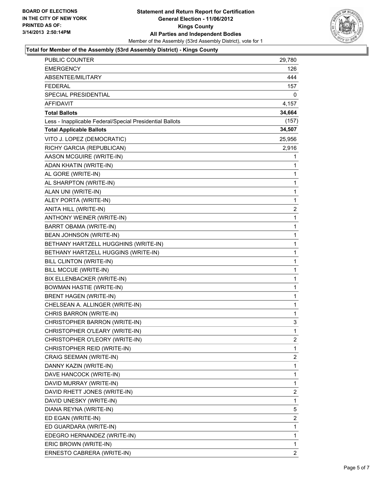

### **Total for Member of the Assembly (53rd Assembly District) - Kings County**

| PUBLIC COUNTER                                           | 29,780         |
|----------------------------------------------------------|----------------|
| <b>EMERGENCY</b>                                         | 126            |
| ABSENTEE/MILITARY                                        | 444            |
| <b>FEDERAL</b>                                           | 157            |
| SPECIAL PRESIDENTIAL                                     | 0              |
| <b>AFFIDAVIT</b>                                         | 4,157          |
| <b>Total Ballots</b>                                     | 34,664         |
| Less - Inapplicable Federal/Special Presidential Ballots | (157)          |
| <b>Total Applicable Ballots</b>                          | 34,507         |
| VITO J. LOPEZ (DEMOCRATIC)                               | 25,956         |
| RICHY GARCIA (REPUBLICAN)                                | 2,916          |
| AASON MCGUIRE (WRITE-IN)                                 | 1              |
| ADAN KHATIN (WRITE-IN)                                   | 1              |
| AL GORE (WRITE-IN)                                       | 1              |
| AL SHARPTON (WRITE-IN)                                   | 1              |
| ALAN UNI (WRITE-IN)                                      | 1              |
| ALEY PORTA (WRITE-IN)                                    | 1              |
| ANITA HILL (WRITE-IN)                                    | $\overline{2}$ |
| ANTHONY WEINER (WRITE-IN)                                | $\mathbf{1}$   |
| <b>BARRT OBAMA (WRITE-IN)</b>                            | 1              |
| BEAN JOHNSON (WRITE-IN)                                  | 1              |
| BETHANY HARTZELL HUGGHINS (WRITE-IN)                     | 1              |
| BETHANY HARTZELL HUGGINS (WRITE-IN)                      | 1              |
| BILL CLINTON (WRITE-IN)                                  | 1              |
| BILL MCCUE (WRITE-IN)                                    | 1              |
| BIX ELLENBACKER (WRITE-IN)                               | 1              |
| <b>BOWMAN HASTIE (WRITE-IN)</b>                          | 1              |
| <b>BRENT HAGEN (WRITE-IN)</b>                            | 1              |
| CHELSEAN A. ALLINGER (WRITE-IN)                          | 1              |
| CHRIS BARRON (WRITE-IN)                                  | 1              |
| CHRISTOPHER BARRON (WRITE-IN)                            | 3              |
| CHRISTOPHER O'LEARY (WRITE-IN)                           | 1              |
| CHRISTOPHER O'LEORY (WRITE-IN)                           | 2              |
| CHRISTOPHER REID (WRITE-IN)                              | 1              |
| CRAIG SEEMAN (WRITE-IN)                                  | 2              |
| DANNY KAZIN (WRITE-IN)                                   | 1              |
| DAVE HANCOCK (WRITE-IN)                                  | 1              |
| DAVID MURRAY (WRITE-IN)                                  | 1              |
| DAVID RHETT JONES (WRITE-IN)                             | $\overline{2}$ |
| DAVID UNESKY (WRITE-IN)                                  | 1              |
| DIANA REYNA (WRITE-IN)                                   | 5              |
| ED EGAN (WRITE-IN)                                       | 2              |
| ED GUARDARA (WRITE-IN)                                   | 1              |
| EDEGRO HERNANDEZ (WRITE-IN)                              | 1              |
| ERIC BROWN (WRITE-IN)                                    | 1              |
| ERNESTO CABRERA (WRITE-IN)                               | 2              |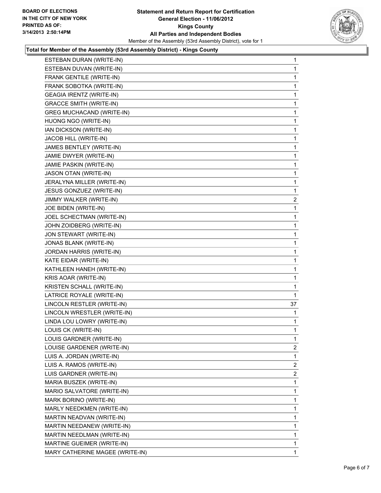

### **Total for Member of the Assembly (53rd Assembly District) - Kings County**

| ESTEBAN DURAN (WRITE-IN)         | 1              |
|----------------------------------|----------------|
| ESTEBAN DUVAN (WRITE-IN)         | 1              |
| FRANK GENTILE (WRITE-IN)         | 1              |
| FRANK SOBOTKA (WRITE-IN)         | 1              |
| <b>GEAGIA IRENTZ (WRITE-IN)</b>  | 1              |
| <b>GRACCE SMITH (WRITE-IN)</b>   | 1              |
| <b>GREG MUCHACAND (WRITE-IN)</b> | 1              |
| HUONG NGO (WRITE-IN)             | 1              |
| IAN DICKSON (WRITE-IN)           | 1              |
| JACOB HILL (WRITE-IN)            | 1              |
| JAMES BENTLEY (WRITE-IN)         | 1              |
| JAMIE DWYER (WRITE-IN)           | 1              |
| JAMIE PASKIN (WRITE-IN)          | 1              |
| JASON OTAN (WRITE-IN)            | 1              |
| JERALYNA MILLER (WRITE-IN)       | 1              |
| JESUS GONZUEZ (WRITE-IN)         | 1              |
| JIMMY WALKER (WRITE-IN)          | $\overline{a}$ |
| JOE BIDEN (WRITE-IN)             | 1              |
| JOEL SCHECTMAN (WRITE-IN)        | 1              |
| JOHN ZOIDBERG (WRITE-IN)         | 1              |
| JON STEWART (WRITE-IN)           | 1              |
| JONAS BLANK (WRITE-IN)           | 1              |
| JORDAN HARRIS (WRITE-IN)         | 1              |
| KATE EIDAR (WRITE-IN)            | 1              |
| KATHLEEN HANEH (WRITE-IN)        | 1              |
| KRIS AOAR (WRITE-IN)             | 1              |
| KRISTEN SCHALL (WRITE-IN)        | 1              |
| LATRICE ROYALE (WRITE-IN)        | 1              |
| LINCOLN RESTLER (WRITE-IN)       | 37             |
| LINCOLN WRESTLER (WRITE-IN)      | 1              |
| LINDA LOU LOWRY (WRITE-IN)       | 1              |
| LOUIS CK (WRITE-IN)              | 1              |
| LOUIS GARDNER (WRITE-IN)         | 1              |
| LOUISE GARDENER (WRITE-IN)       | 2              |
| LUIS A. JORDAN (WRITE-IN)        | 1              |
| LUIS A. RAMOS (WRITE-IN)         | 2              |
| LUIS GARDNER (WRITE-IN)          | $\overline{2}$ |
| MARIA BUSZEK (WRITE-IN)          | 1              |
| MARIO SALVATORE (WRITE-IN)       | 1              |
| MARK BORINO (WRITE-IN)           | 1              |
| MARLY NEEDKMEN (WRITE-IN)        | 1              |
| MARTIN NEADVAN (WRITE-IN)        | 1              |
| MARTIN NEEDANEW (WRITE-IN)       | 1              |
| MARTIN NEEDLMAN (WRITE-IN)       | 1              |
| MARTINE GUEIMER (WRITE-IN)       | 1              |
| MARY CATHERINE MAGEE (WRITE-IN)  | 1              |